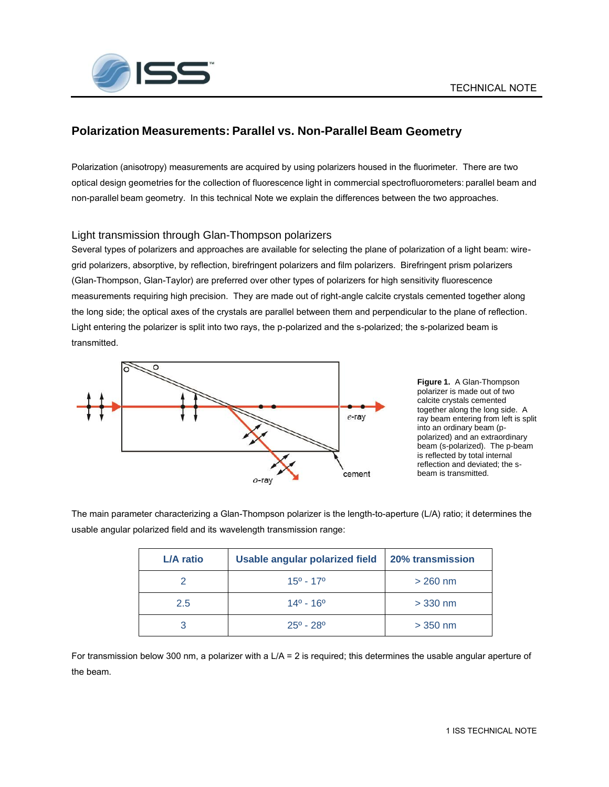

# **Polarization Measurements: Parallel vs. Non-Parallel Beam Geometry**

Polarization (anisotropy) measurements are acquired by using polarizers housed in the fluorimeter. There are two optical design geometries for the collection of fluorescence light in commercial spectrofluorometers: parallel beam and non-parallel beam geometry. In this technical Note we explain the differences between the two approaches.

### Light transmission through Glan-Thompson polarizers

Several types of polarizers and approaches are available for selecting the plane of polarization of a light beam: wiregrid polarizers, absorptive, by reflection, birefringent polarizers and film polarizers. Birefringent prism polarizers (Glan-Thompson, Glan-Taylor) are preferred over other types of polarizers for high sensitivity fluorescence measurements requiring high precision. They are made out of right-angle calcite crystals cemented together along the long side; the optical axes of the crystals are parallel between them and perpendicular to the plane of reflection. Light entering the polarizer is split into two rays, the p-polarized and the s-polarized; the s-polarized beam is transmitted.



**Figure 1.** A Glan-Thompson polarizer is made out of two calcite crystals cemented together along the long side. A ray beam entering from left is split into an ordinary beam (ppolarized) and an extraordinary beam (s-polarized). The p-beam is reflected by total internal reflection and deviated; the sbeam is transmitted.

The main parameter characterizing a Glan-Thompson polarizer is the length-to-aperture (L/A) ratio; it determines the usable angular polarized field and its wavelength transmission range:

| L/A ratio     | Usable angular polarized field | <b>20% transmission</b> |
|---------------|--------------------------------|-------------------------|
|               | $15^{\circ}$ - 17 $^{\circ}$   | $>$ 260 nm              |
| $2.5^{\circ}$ | $14^{\circ} - 16^{\circ}$      | $>$ 330 nm              |
|               | $25^{\circ}$ - 28 $^{\circ}$   | $>$ 350 nm              |

For transmission below 300 nm, a polarizer with a L/A = 2 is required; this determines the usable angular aperture of the beam.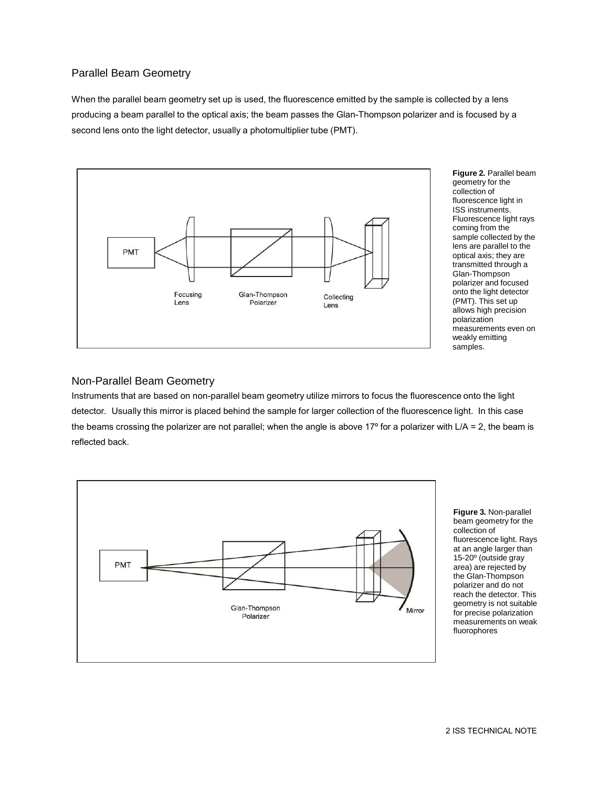## Parallel Beam Geometry

When the parallel beam geometry set up is used, the fluorescence emitted by the sample is collected by a lens producing a beam parallel to the optical axis; the beam passes the Glan-Thompson polarizer and is focused by a second lens onto the light detector, usually a photomultiplier tube (PMT).



#### Non-Parallel Beam Geometry

Instruments that are based on non-parallel beam geometry utilize mirrors to focus the fluorescence onto the light detector. Usually this mirror is placed behind the sample for larger collection of the fluorescence light. In this case the beams crossing the polarizer are not parallel; when the angle is above  $17^{\circ}$  for a polarizer with  $L/A = 2$ , the beam is reflected back.



**Figure 3.** Non-parallel beam geometry for the collection of fluorescence light. Rays at an angle larger than 15-20º (outside gray area) are rejected by the Glan-Thompson polarizer and do not reach the detector. This geometry is not suitable for precise polarization measurements on weak fluorophores